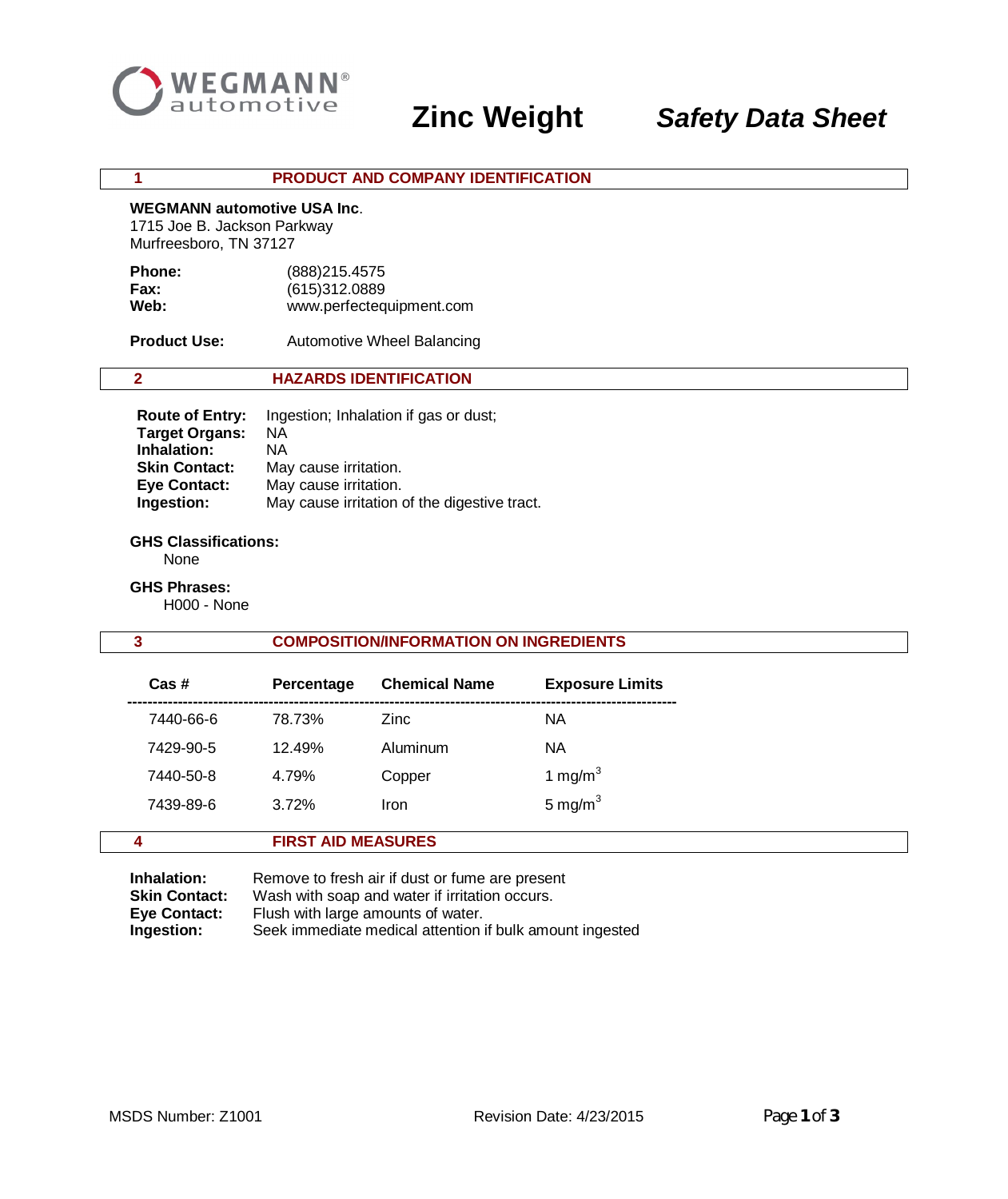

# **Zinc Weight** *Safety Data Sheet*

#### **1 PRODUCT AND COMPANY IDENTIFICATION**

#### **WEGMANN automotive USA Inc**.

 1715 Joe B. Jackson Parkway Murfreesboro, TN 37127

| <b>Phone:</b> | (888) 215.4575           |
|---------------|--------------------------|
| Fax:          | (615)312.0889            |
| Web:          | www.perfectequipment.com |

**Product Use:** Automotive Wheel Balancing

## **2 HAZARDS IDENTIFICATION**

| <b>Route of Entry:</b> | Ingestion; Inhalation if gas or dust;        |
|------------------------|----------------------------------------------|
| <b>Target Organs:</b>  | ΝA                                           |
| Inhalation:            | ΝA                                           |
| <b>Skin Contact:</b>   | May cause irritation.                        |
| <b>Eye Contact:</b>    | May cause irritation.                        |
| Ingestion:             | May cause irritation of the digestive tract. |

## **GHS Classifications:**

None

## **GHS Phrases:**

H000 - None

## **3 COMPOSITION/INFORMATION ON INGREDIENTS**

| $Cas$ #   | Percentage | <b>Chemical Name</b> | <b>Exposure Limits</b> |
|-----------|------------|----------------------|------------------------|
| 7440-66-6 | 78.73%     | Zinc                 | ΝA                     |
| 7429-90-5 | 12.49%     | Aluminum             | ΝA                     |
| 7440-50-8 | 4.79%      | Copper               | 1 mg/m $3$             |
| 7439-89-6 | 3.72%      | Iron                 | 5 mg/m $3$             |
|           |            |                      |                        |

## **Inhalation:** Remove to fresh air if dust or fume are present **Skin Contact:** Wash with soap and water if irritation occurs.  **Eye Contact:** Flush with large amounts of water.  **Ingestion:** Seek immediate medical attention if bulk amount ingested

 **4 FIRST AID MEASURES**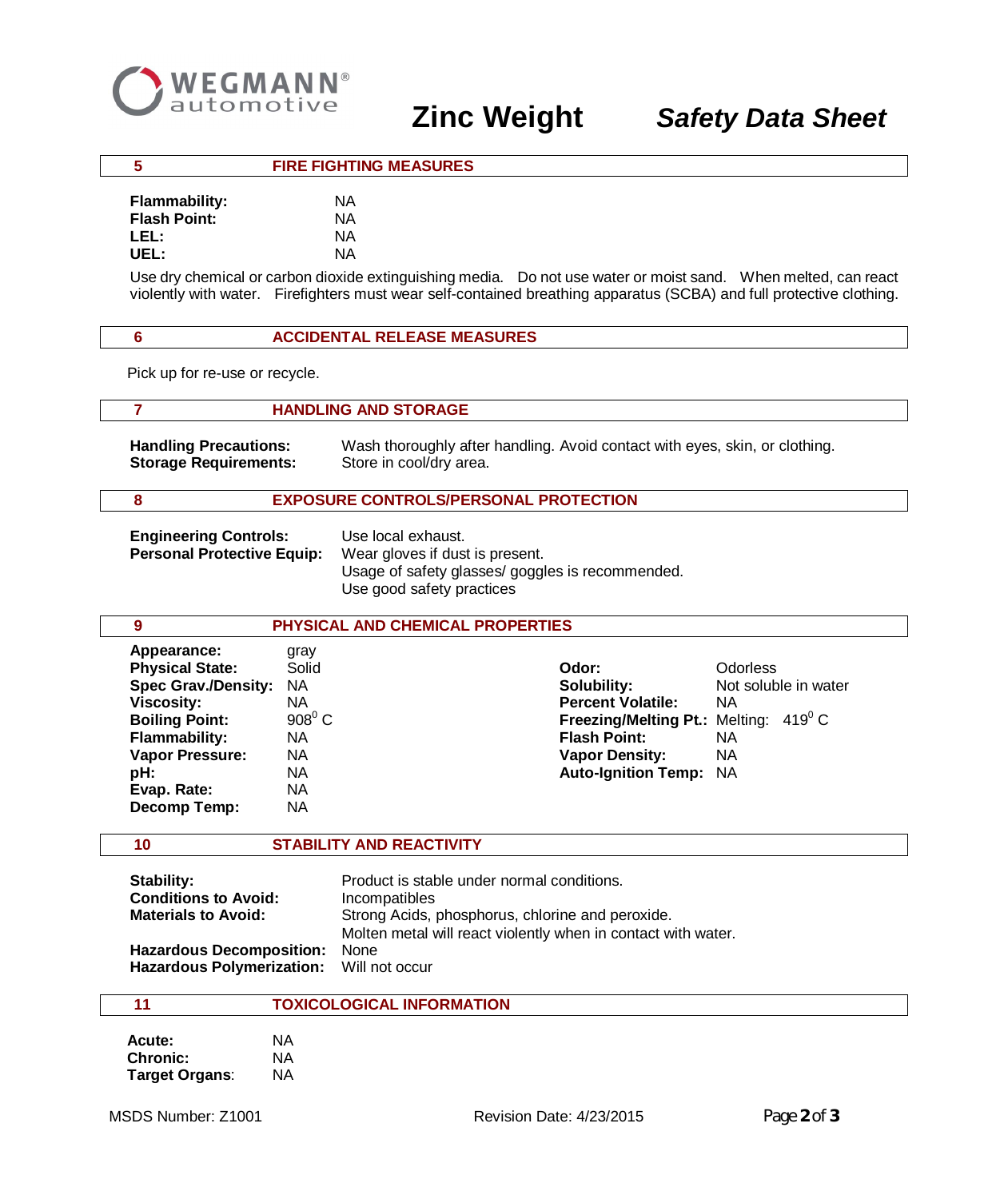

## **5 FIRE FIGHTING MEASURES**

| <b>Flammability:</b> | ΝA |
|----------------------|----|
| <b>Flash Point:</b>  | ΝA |
| LEL:                 | ΝA |
| UEL:                 | ΝA |

Use dry chemical or carbon dioxide extinguishing media. Do not use water or moist sand. When melted, can react violently with water. Firefighters must wear self-contained breathing apparatus (SCBA) and full protective clothing.

#### **6 ACCIDENTAL RELEASE MEASURES**

Pick up for re-use or recycle.

#### **7 HANDLING AND STORAGE**

 **Handling Precautions:** Wash thoroughly after handling. Avoid contact with eyes, skin, or clothing. **Storage Requirements:** Store in cool/dry area.

## **8 EXPOSURE CONTROLS/PERSONAL PROTECTION**

**Engineering Controls:** Use local exhaust.  **Personal Protective Equip:** Wear gloves if dust is present.

Usage of safety glasses/ goggles is recommended. Use good safety practices

| 9                          |                 | PHYSICAL AND CHEMICAL PROPERTIES                      |                      |
|----------------------------|-----------------|-------------------------------------------------------|----------------------|
| Appearance:                | gray            |                                                       |                      |
| <b>Physical State:</b>     | Solid           | Odor:                                                 | <b>Odorless</b>      |
| <b>Spec Grav./Density:</b> | NA              | Solubility:                                           | Not soluble in water |
| <b>Viscosity:</b>          | NA              | <b>Percent Volatile:</b>                              | ΝA                   |
| <b>Boiling Point:</b>      | $908^{\circ}$ C | <b>Freezing/Melting Pt.:</b> Melting: $419^{\circ}$ C |                      |
| <b>Flammability:</b>       | NA.             | <b>Flash Point:</b>                                   | NА                   |
| <b>Vapor Pressure:</b>     | NA.             | <b>Vapor Density:</b>                                 | ΝA                   |
| pH:                        | NA.             | <b>Auto-Ignition Temp: NA</b>                         |                      |
| Evap. Rate:                | NA.             |                                                       |                      |
| Decomp Temp:               | NA.             |                                                       |                      |

#### **10 STABILITY AND REACTIVITY**

| Stability:                               | Product is stable under normal conditions.                    |  |
|------------------------------------------|---------------------------------------------------------------|--|
| <b>Conditions to Avoid:</b>              | Incompatibles                                                 |  |
| <b>Materials to Avoid:</b>               | Strong Acids, phosphorus, chlorine and peroxide.              |  |
|                                          | Molten metal will react violently when in contact with water. |  |
| Hazardous Decomposition: None            |                                                               |  |
| Hazardous Polymerization: Will not occur |                                                               |  |

#### **11 TOXICOLOGICAL INFORMATION**

| Acute:          | NA |
|-----------------|----|
| <b>Chronic:</b> | ΝA |
| Target Organs:  | ΝA |